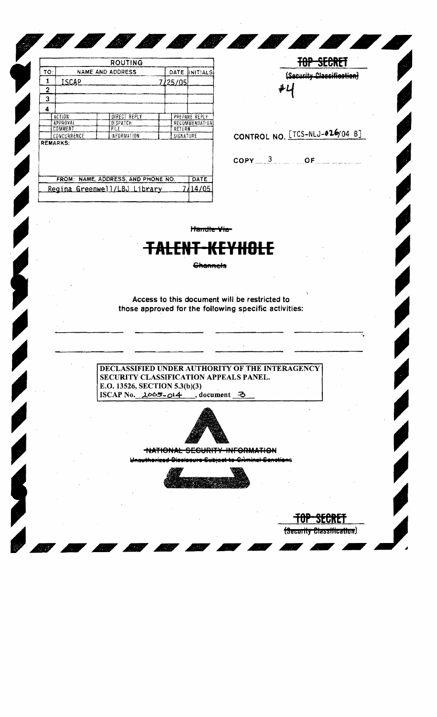| ROUTING                                    |                |                  |  |           |                |  |  |  |
|--------------------------------------------|----------------|------------------|--|-----------|----------------|--|--|--|
| TO:                                        |                | NAME AND ADDRESS |  | DATE      | INITIALS       |  |  |  |
| 1                                          | ISCAP          |                  |  | 7/25/05   |                |  |  |  |
| 2                                          |                |                  |  |           |                |  |  |  |
| 3                                          |                |                  |  |           |                |  |  |  |
| 4                                          |                |                  |  |           |                |  |  |  |
|                                            | <b>ACTION</b>  | DIRECT REPLY     |  |           | PREPARE REPLY  |  |  |  |
|                                            | APPROVAL       | DISPATCH         |  |           | RECOMMENDATION |  |  |  |
|                                            | <b>COMMENT</b> | FILE             |  | RETURN    |                |  |  |  |
|                                            | CONCURRENCE    | RFORMATION       |  | SIGNATURE |                |  |  |  |
| <b>REMARKS:</b>                            |                |                  |  |           |                |  |  |  |
| FROM: NAME, ADDRESS, AND PHONE NO.<br>DATE |                |                  |  |           |                |  |  |  |
| Regina Greenwell/LBJ Library               |                |                  |  |           |                |  |  |  |

TOP SECRET (Security Classification) ₽U

(Security Classification)

CONTROL NO. [TCS-NLJ-026/04 B]

 $\mathsf{COPY}\_3$  of

Handle Via

88888.

## <del>TALENT-KEYHOLE</del>

**Channels** 

Access to this document will be restricted to those approved for the following specific activities:

DECLASSIFIED UNDER AUTHORITY OF THE INTERAGENCY SECURITY CLASSIFICATION APPEALS PANEL. E.O. 13526, SECTION 5.3(b)(3) ISCAP No.  $2065 - 014$ , document 3



**NATIONAL SECURITY INFORMATION** 

<u>uthorized Disclesure Cubina</u> te Crìminal-Sanotions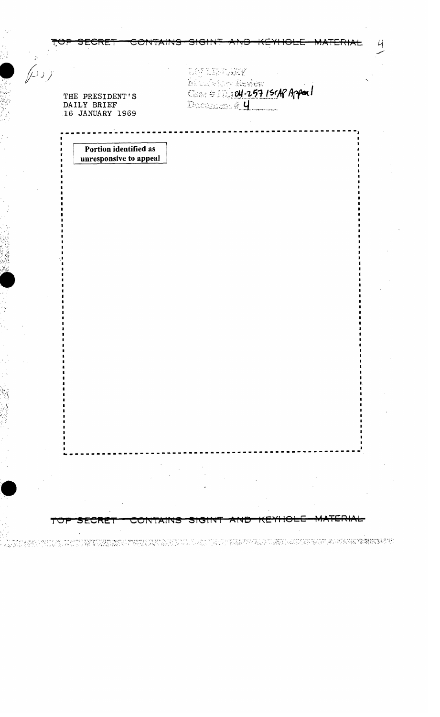| THE PRESIDENT'S<br>DAILY BRIEF<br>16 JANUARY 1969 | <b>LES CENTARY</b><br>Manufacture Review<br>Description #14 |  |
|---------------------------------------------------|-------------------------------------------------------------|--|
| Portion identified as<br>unresponsive to appeal   |                                                             |  |
|                                                   |                                                             |  |
|                                                   |                                                             |  |
|                                                   |                                                             |  |
|                                                   |                                                             |  |
|                                                   |                                                             |  |
|                                                   |                                                             |  |
|                                                   |                                                             |  |
|                                                   |                                                             |  |

 $\mathcal{A}_1$ 

្ត

 $\cdot$  ,  $\sim$  $\bar{\beta}$ 

> $\frac{1}{2}$  $\ddot{\phantom{a}}$  $\hat{\theta}_i$  $\bar{\gamma}$

 $\sim$ 

ò,

 $\ddot{\phantom{a}}$ И,

 $\bar{z}$ 

.<br>The transition of the DNA was the street with ANN CONTROL To the street of the March of Anna Mark (1974). The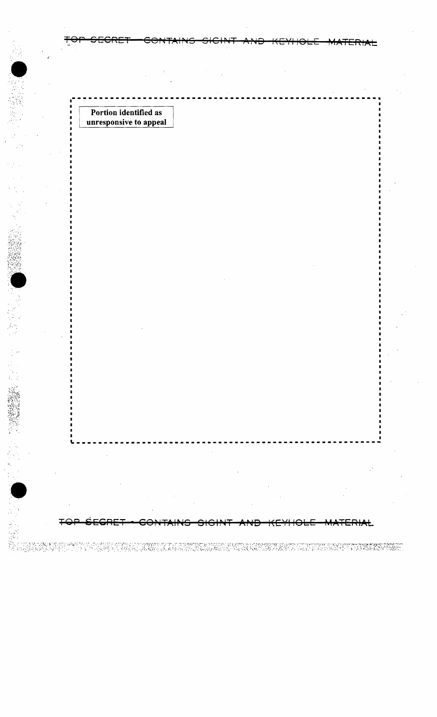Portion identified as i unresponsive to appeal

TOP SECRET CONTAINS SIGINT AND KEYHOLE MATERIAL

**\_.\_.\_---------------------------------------------------**

TOP SEGRET - CONTAINS SIGINT AND KEYHOLE MATERIAL

II SAMARIN BIRABUR I TEPUN PUTA DI TERMAR MUSI TARUPUN BUIBI RANDA SAMARININ LAM MUNEUR BANGGUNG MARARAN TING<br>SARRA ABBER SI PER PERANG KARANG ARANG ARA MANGGUNG RANDAN MUSIAN ANG BANG PANGSINUS DENGAN TERPANGKUNG MARTI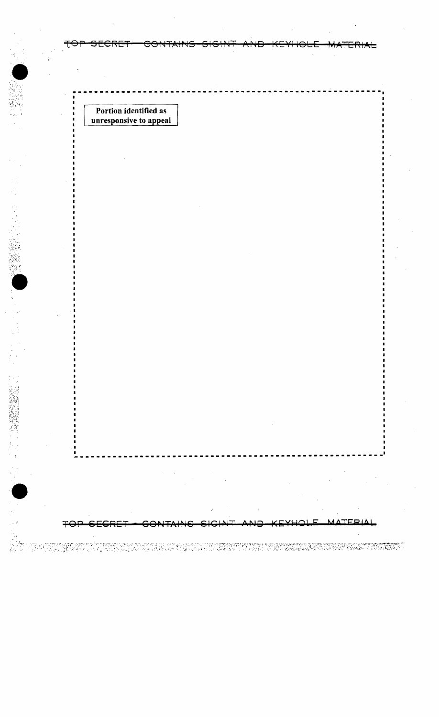Portion identified as unresponsive to appeal

 $\blacksquare$  $\blacksquare$ 

· 第22章 第222章

Ţ

TERIAL

n sing totta giptagment tigan uson soure om grog e een montpressigt pares son avgeveer gegaangegaangeveeringem<br>I all taalgegaan een gangeloop een sageleeringeloop een alle all en die sold absorbeele linkward beleer bloekk